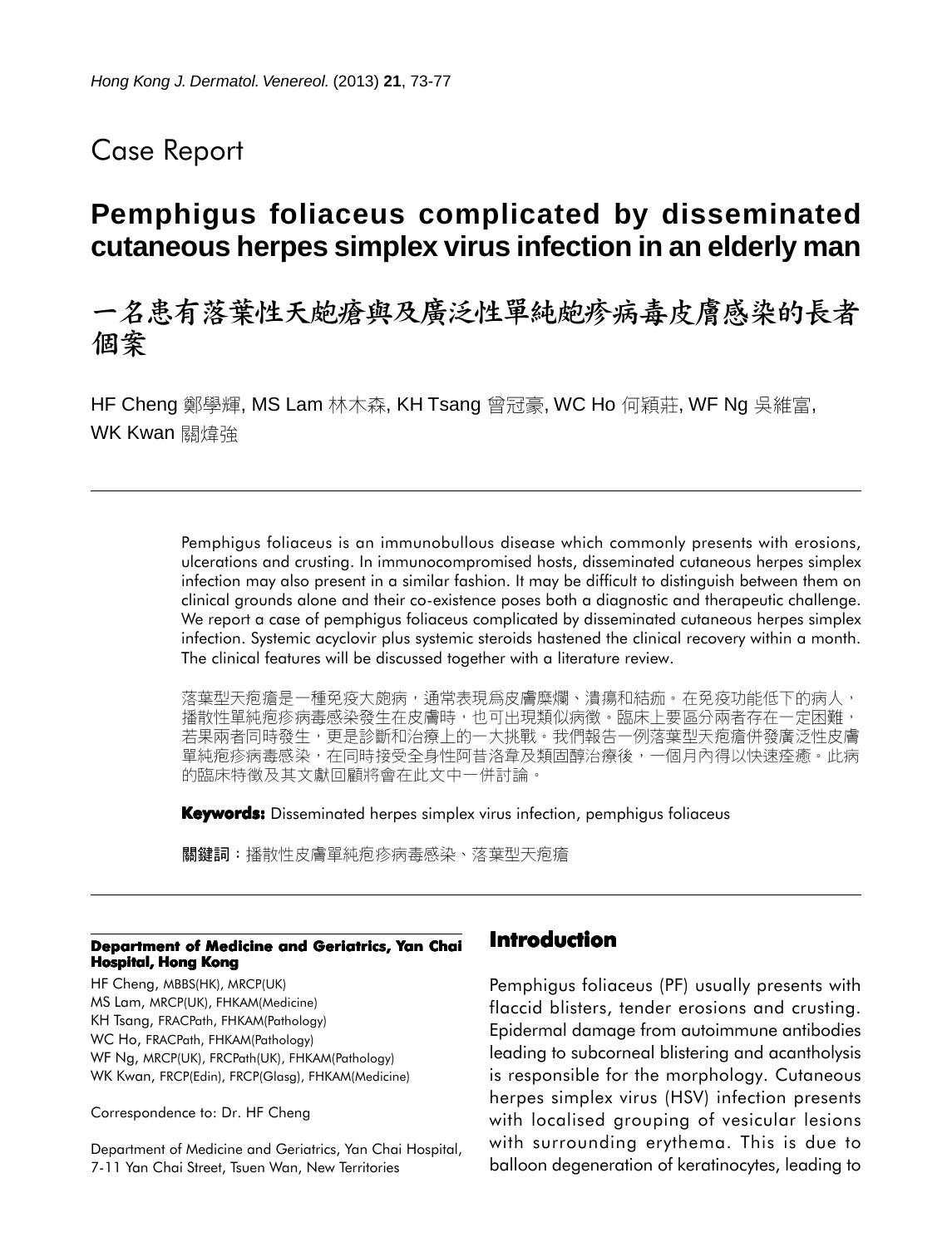## Case Report

# **Pemphigus foliaceus complicated by disseminated cutaneous herpes simplex virus infection in an elderly man**

# 一名患有落葉性天皰瘡與及廣泛性單純皰疹病毒皮膚感染的長者 個案

HF Cheng 鄭學輝, MS Lam 林木森, KH Tsang 曾冠豪, WC Ho 何穎莊, WF Ng 吳維富, WK Kwan 關煌強

> Pemphigus foliaceus is an immunobullous disease which commonly presents with erosions, ulcerations and crusting. In immunocompromised hosts, disseminated cutaneous herpes simplex infection may also present in a similar fashion. It may be difficult to distinguish between them on clinical grounds alone and their co-existence poses both a diagnostic and therapeutic challenge. We report a case of pemphigus foliaceus complicated by disseminated cutaneous herpes simplex infection. Systemic acyclovir plus systemic steroids hastened the clinical recovery within a month. The clinical features will be discussed together with a literature review.

> 落葉型天疱瘡是一種免疫大皰病,通常表現爲皮膚糜爛、潰瘍和結痂。在免疫功能低下的病人, 播散性單純疱疹病毒感染發生在皮膚時,也可出現類似病徵。臨床上要區分兩者存在一定困難, 若果兩者同時發生,更是診斷和治療上的一大挑戰。我們報告一例落葉型天疱瘡併發廣泛性皮膚 單純疱疹病毒感染,在同時接受全身性阿昔洛韋及類固醇治療後,一個月內得以快速痊癒。此病 的臨床特徵及其文獻回顧將會在此文中一併討論。

**Keywords:** Disseminated herpes simplex virus infection, pemphigus foliaceus

關鍵詞:播散性皮膚單純疱疹病毒感染、落葉型天疱瘡

#### **Department of Medicine and Geriatrics, Yan Chai Hospital, Hong Kong**

HF Cheng, MBBS(HK), MRCP(UK) MS Lam, MRCP(UK), FHKAM(Medicine) KH Tsang, FRACPath, FHKAM(Pathology) WC Ho, FRACPath, FHKAM(Pathology) WF Ng, MRCP(UK), FRCPath(UK), FHKAM(Pathology) WK Kwan, FRCP(Edin), FRCP(Glasg), FHKAM(Medicine)

Correspondence to: Dr. HF Cheng

Department of Medicine and Geriatrics, Yan Chai Hospital, 7-11 Yan Chai Street, Tsuen Wan, New Territories

### **Introduction**

Pemphigus foliaceus (PF) usually presents with flaccid blisters, tender erosions and crusting. Epidermal damage from autoimmune antibodies leading to subcorneal blistering and acantholysis is responsible for the morphology. Cutaneous herpes simplex virus (HSV) infection presents with localised grouping of vesicular lesions with surrounding erythema. This is due to balloon degeneration of keratinocytes, leading to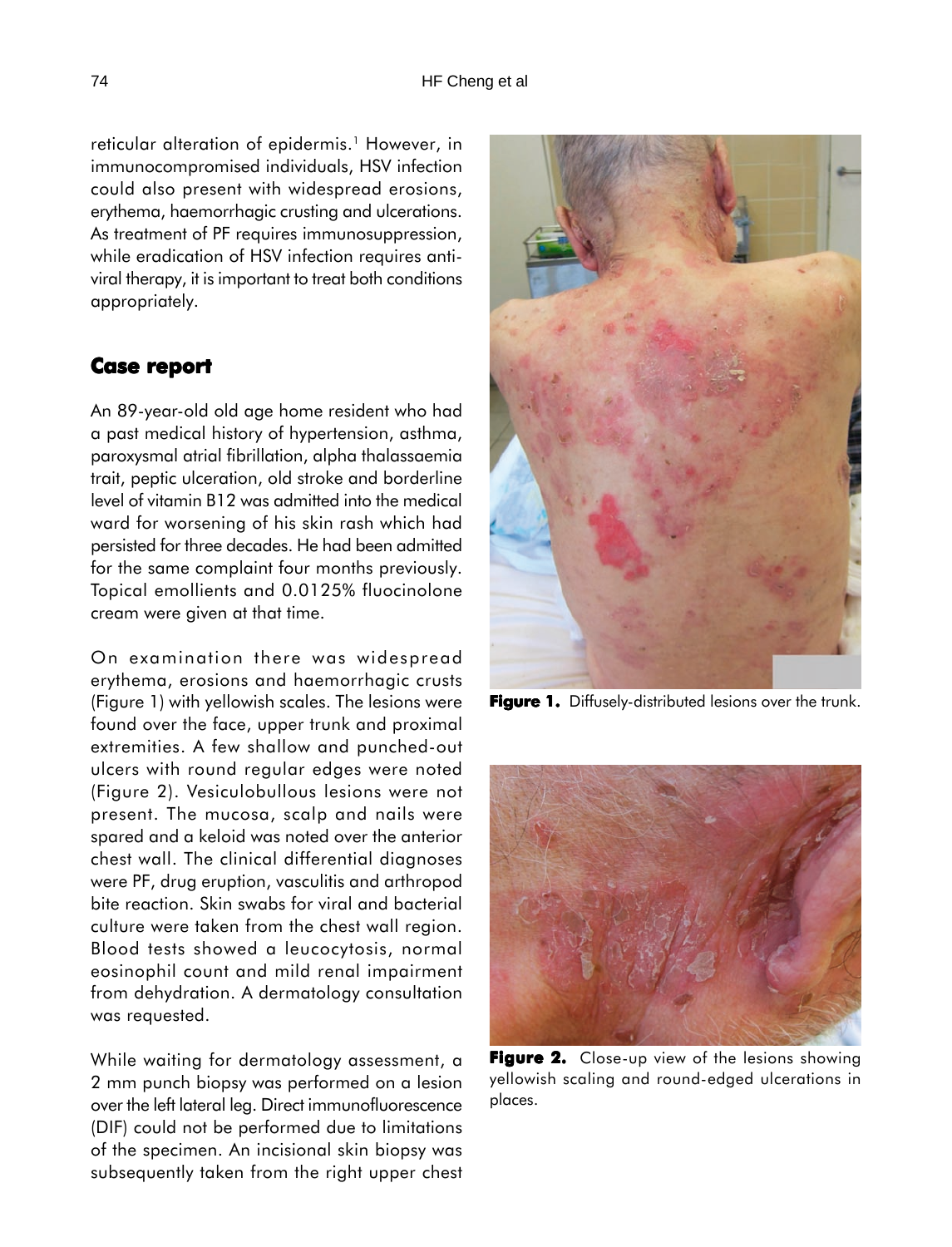reticular alteration of epidermis.<sup>1</sup> However, in immunocompromised individuals, HSV infection could also present with widespread erosions, erythema, haemorrhagic crusting and ulcerations. As treatment of PF requires immunosuppression, while eradication of HSV infection requires antiviral therapy, it is important to treat both conditions appropriately.

#### **Case report report**

An 89-year-old old age home resident who had a past medical history of hypertension, asthma, paroxysmal atrial fibrillation, alpha thalassaemia trait, peptic ulceration, old stroke and borderline level of vitamin B12 was admitted into the medical ward for worsening of his skin rash which had persisted for three decades. He had been admitted for the same complaint four months previously. Topical emollients and 0.0125% fluocinolone cream were given at that time.

On examination there was widespread erythema, erosions and haemorrhagic crusts (Figure 1) with yellowish scales. The lesions were found over the face, upper trunk and proximal extremities. A few shallow and punched-out ulcers with round regular edges were noted (Figure 2). Vesiculobullous lesions were not present. The mucosa, scalp and nails were spared and a keloid was noted over the anterior chest wall. The clinical differential diagnoses were PF, drug eruption, vasculitis and arthropod bite reaction. Skin swabs for viral and bacterial culture were taken from the chest wall region. Blood tests showed a leucocytosis, normal eosinophil count and mild renal impairment from dehydration. A dermatology consultation was requested.

While waiting for dermatology assessment, a 2 mm punch biopsy was performed on a lesion over the left lateral leg. Direct immunofluorescence (DIF) could not be performed due to limitations of the specimen. An incisional skin biopsy was subsequently taken from the right upper chest



**Figure 1.** Diffusely-distributed lesions over the trunk.



**Figure 2. Figure 2.** Close-up view of the lesions showing yellowish scaling and round-edged ulcerations in places.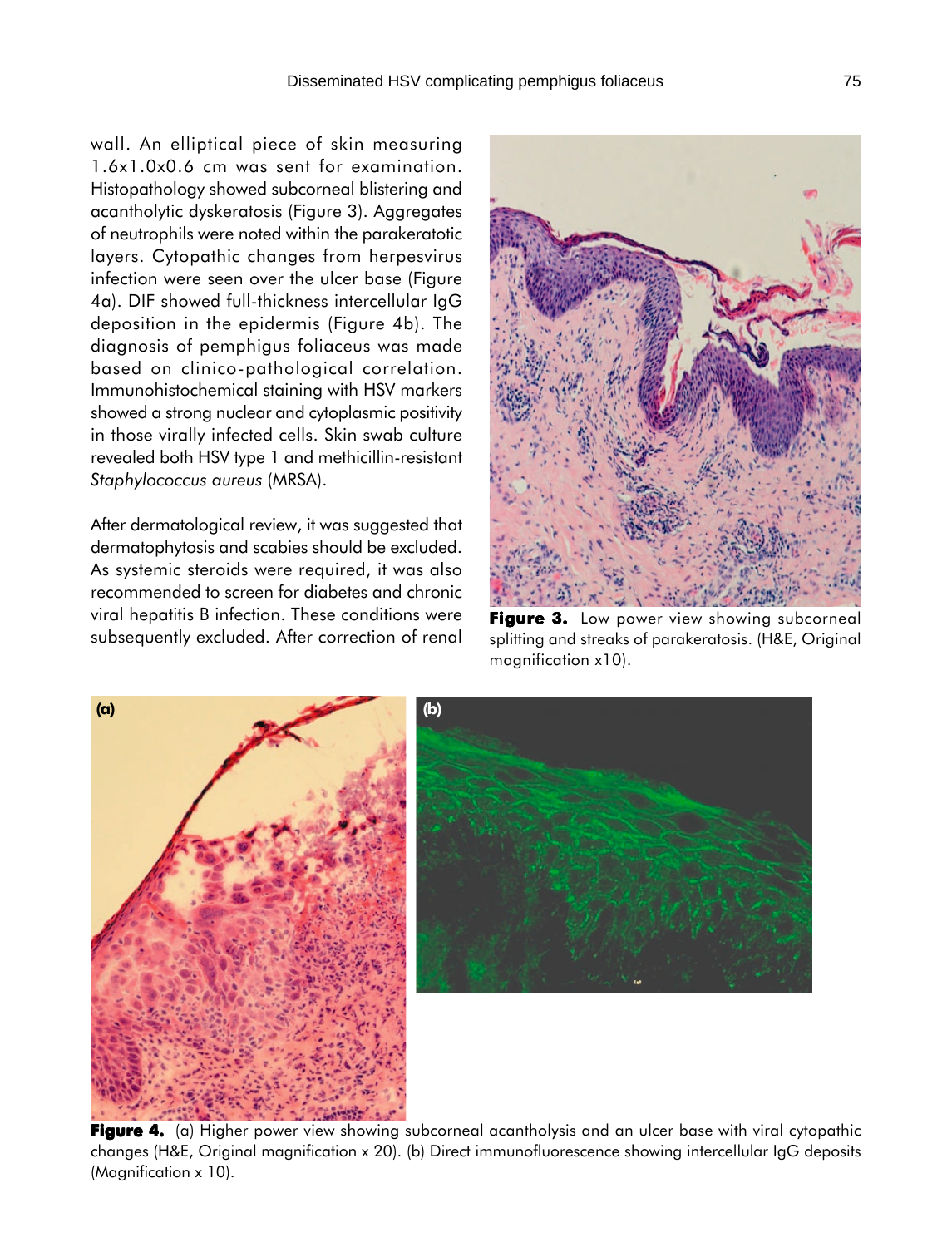wall. An elliptical piece of skin measuring 1.6x1.0x0.6 cm was sent for examination. Histopathology showed subcorneal blistering and acantholytic dyskeratosis (Figure 3). Aggregates of neutrophils were noted within the parakeratotic layers. Cytopathic changes from herpesvirus infection were seen over the ulcer base (Figure 4a). DIF showed full-thickness intercellular IgG deposition in the epidermis (Figure 4b). The diagnosis of pemphigus foliaceus was made based on clinico-pathological correlation. Immunohistochemical staining with HSV markers showed a strong nuclear and cytoplasmic positivity in those virally infected cells. Skin swab culture revealed both HSV type 1 and methicillin-resistant

*Staphylococcus aureus* (MRSA).

After dermatological review, it was suggested that dermatophytosis and scabies should be excluded. As systemic steroids were required, it was also recommended to screen for diabetes and chronic viral hepatitis B infection. These conditions were subsequently excluded. After correction of renal



**Figure 3.** Low power view showing subcorneal splitting and streaks of parakeratosis. (H&E, Original magnification x10).



Figure 4. (a) Higher power view showing subcorneal acantholysis and an ulcer base with viral cytopathic changes (H&E, Original magnification x 20). (b) Direct immunofluorescence showing intercellular IgG deposits (Magnification x 10).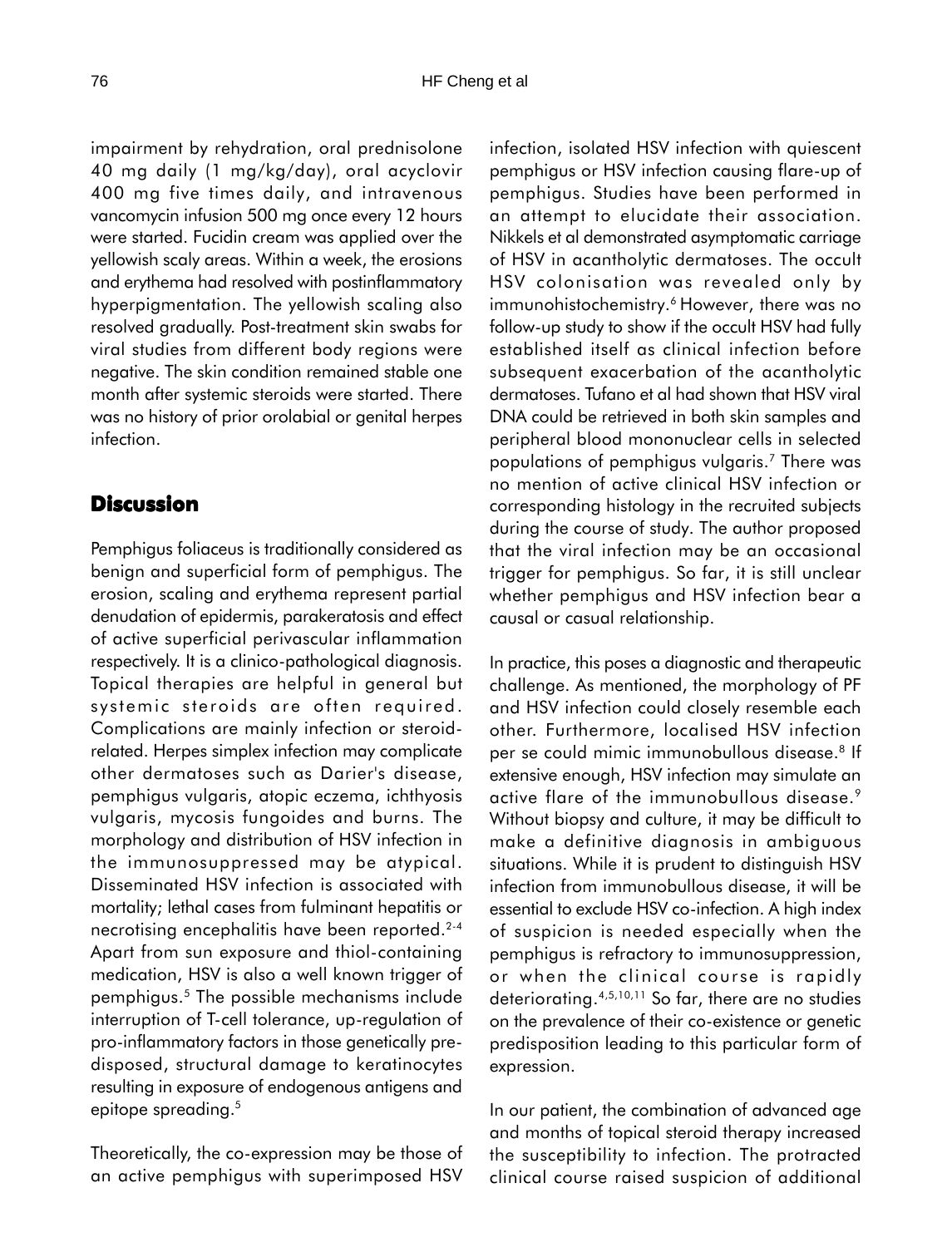impairment by rehydration, oral prednisolone 40 mg daily (1 mg/kg/day), oral acyclovir 400 mg five times daily, and intravenous vancomycin infusion 500 mg once every 12 hours were started. Fucidin cream was applied over the yellowish scaly areas. Within a week, the erosions and erythema had resolved with postinflammatory hyperpigmentation. The yellowish scaling also resolved gradually. Post-treatment skin swabs for viral studies from different body regions were negative. The skin condition remained stable one month after systemic steroids were started. There was no history of prior orolabial or genital herpes infection.

#### **Discussion**

Pemphigus foliaceus is traditionally considered as benign and superficial form of pemphigus. The erosion, scaling and erythema represent partial denudation of epidermis, parakeratosis and effect of active superficial perivascular inflammation respectively. It is a clinico-pathological diagnosis. Topical therapies are helpful in general but systemic steroids are often required. Complications are mainly infection or steroidrelated. Herpes simplex infection may complicate other dermatoses such as Darier's disease, pemphigus vulgaris, atopic eczema, ichthyosis vulgaris, mycosis fungoides and burns. The morphology and distribution of HSV infection in the immunosuppressed may be atypical. Disseminated HSV infection is associated with mortality; lethal cases from fulminant hepatitis or necrotising encephalitis have been reported.<sup>2-4</sup> Apart from sun exposure and thiol-containing medication, HSV is also a well known trigger of pemphigus.5 The possible mechanisms include interruption of T-cell tolerance, up-regulation of pro-inflammatory factors in those genetically predisposed, structural damage to keratinocytes resulting in exposure of endogenous antigens and epitope spreading.<sup>5</sup>

Theoretically, the co-expression may be those of an active pemphigus with superimposed HSV

infection, isolated HSV infection with quiescent pemphigus or HSV infection causing flare-up of pemphigus. Studies have been performed in an attempt to elucidate their association. Nikkels et al demonstrated asymptomatic carriage of HSV in acantholytic dermatoses. The occult HSV colonisation was revealed only by immunohistochemistry.<sup>6</sup> However, there was no follow-up study to show if the occult HSV had fully established itself as clinical infection before subsequent exacerbation of the acantholytic dermatoses. Tufano et al had shown that HSV viral DNA could be retrieved in both skin samples and peripheral blood mononuclear cells in selected populations of pemphigus vulgaris.7 There was no mention of active clinical HSV infection or corresponding histology in the recruited subjects during the course of study. The author proposed that the viral infection may be an occasional trigger for pemphigus. So far, it is still unclear whether pemphigus and HSV infection bear a causal or casual relationship.

In practice, this poses a diagnostic and therapeutic challenge. As mentioned, the morphology of PF and HSV infection could closely resemble each other. Furthermore, localised HSV infection per se could mimic immunobullous disease.<sup>8</sup> If extensive enough, HSV infection may simulate an active flare of the immunobullous disease.<sup>9</sup> Without biopsy and culture, it may be difficult to make a definitive diagnosis in ambiguous situations. While it is prudent to distinguish HSV infection from immunobullous disease, it will be essential to exclude HSV co-infection. A high index of suspicion is needed especially when the pemphigus is refractory to immunosuppression, or when the clinical course is rapidly deteriorating.4,5,10,11 So far, there are no studies on the prevalence of their co-existence or genetic predisposition leading to this particular form of expression.

In our patient, the combination of advanced age and months of topical steroid therapy increased the susceptibility to infection. The protracted clinical course raised suspicion of additional